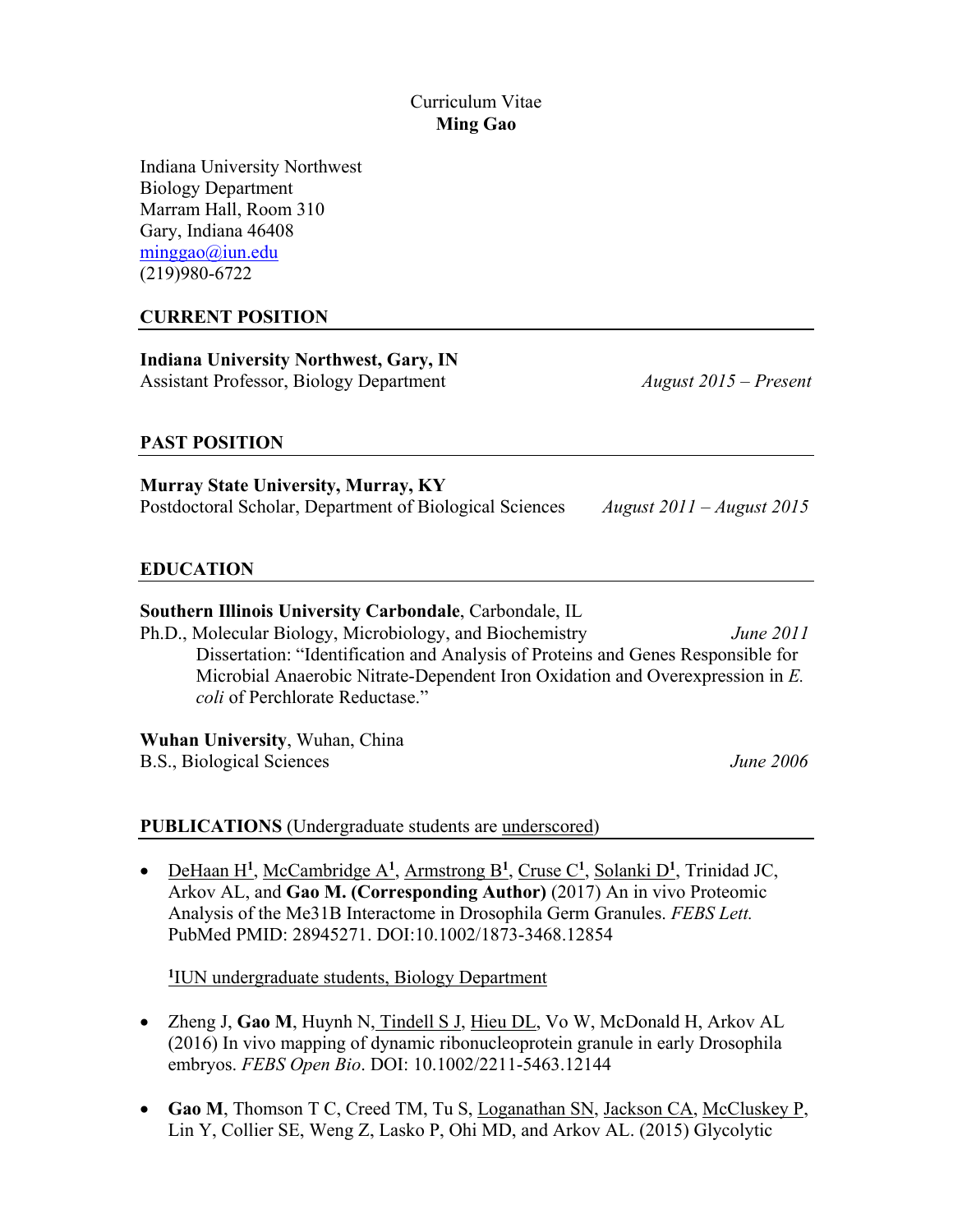### Curriculum Vitae **Ming Gao**

Indiana University Northwest Biology Department Marram Hall, Room 310 Gary, Indiana 46408 [minggao@iun.edu](mailto:minggao@iun.edu)  (219)980-6722

## **CURRENT POSITION**

**Indiana University Northwest, Gary, IN**  Assistant Professor, Biology Department *August 2015 – Present* 

### **PAST POSITION**

**Murray State University, Murray, KY**  Postdoctoral Scholar, Department of Biological Sciences *August 2011 – August 2015* 

### **EDUCATION**

### **Southern Illinois University Carbondale**, Carbondale, IL

Ph.D., Molecular Biology, Microbiology, and Biochemistry *June 2011*  Dissertation: "Identification and Analysis of Proteins and Genes Responsible for Microbial Anaerobic Nitrate-Dependent Iron Oxidation and Overexpression in *E. coli* of Perchlorate Reductase."

**Wuhan University**, Wuhan, China B.S., Biological Sciences *June 2006* 

### **PUBLICATIONS** (Undergraduate students are underscored)

• DeHaan H**<sup>1</sup>**, McCambridge A**<sup>1</sup>**, Armstrong B**<sup>1</sup>**, Cruse C**<sup>1</sup>**, Solanki D**<sup>1</sup>** , Trinidad JC, Arkov AL, and **Gao M. (Corresponding Author)** (2017) An in vivo Proteomic Analysis of the Me31B Interactome in Drosophila Germ Granules. *FEBS Lett.*  PubMed PMID: 28945271. DOI:10.1002/1873-3468.12854

**1** IUN undergraduate students, Biology Department

- Zheng J, **Gao M**, Huynh N, Tindell S J, Hieu DL, Vo W, McDonald H, Arkov AL (2016) In vivo mapping of dynamic ribonucleoprotein granule in early Drosophila embryos. *FEBS Open Bio*. DOI: 10.1002/2211-5463.12144
- Gao M, Thomson T C, Creed TM, Tu S, Loganathan SN, Jackson CA, McCluskey P, Lin Y, Collier SE, Weng Z, Lasko P, Ohi MD, and Arkov AL. (2015) Glycolytic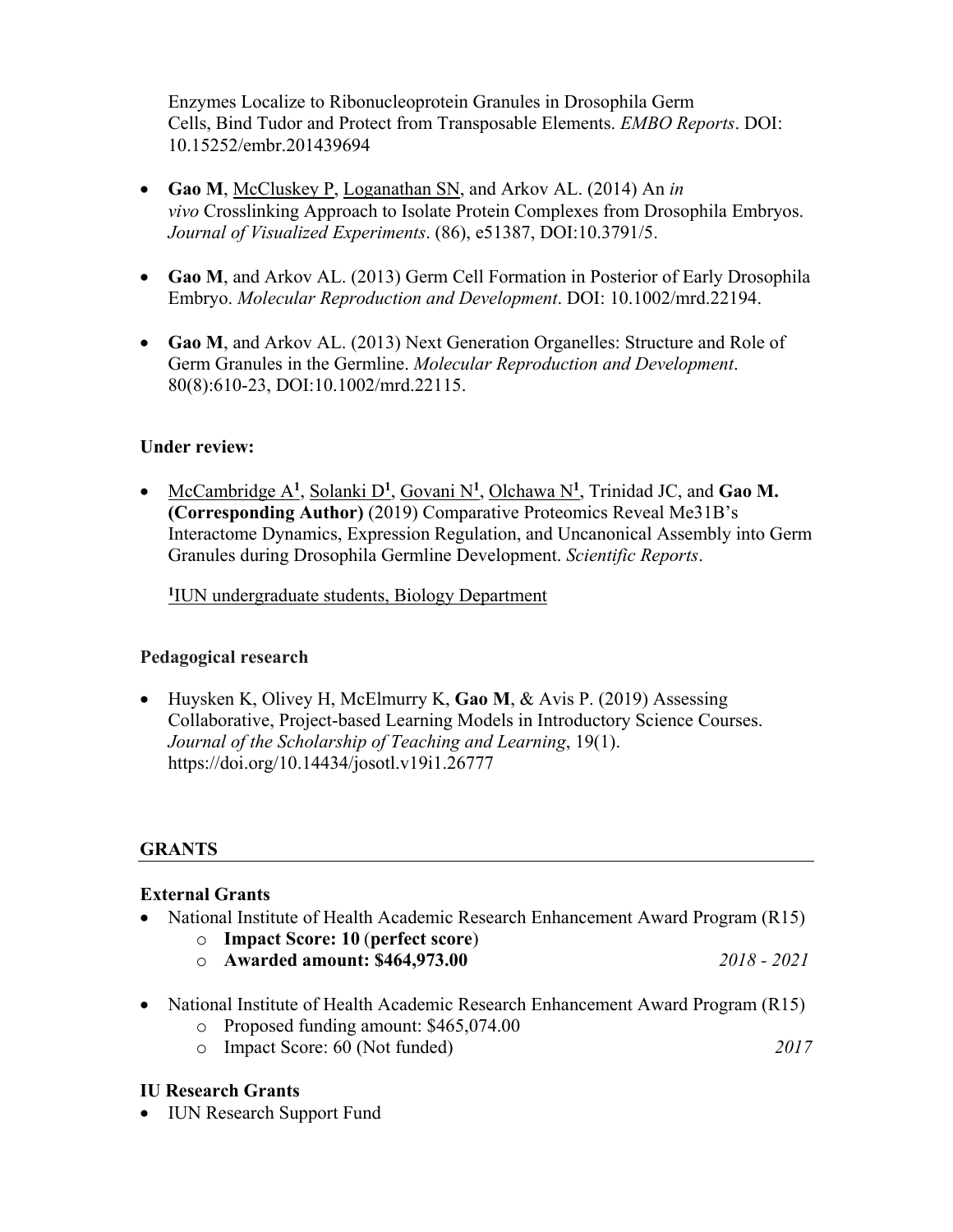Enzymes Localize to Ribonucleoprotein Granules in Drosophila Germ Cells, Bind Tudor and Protect from Transposable Elements. *EMBO Reports*. DOI: 10.15252/embr.201439694

- **Gao M**, McCluskey P, Loganathan SN, and Arkov AL. (2014) An *in vivo* Crosslinking Approach to Isolate Protein Complexes from Drosophila Embryos. *Journal of Visualized Experiments*. (86), e51387, DOI:10.3791/5.
- **Gao M**, and Arkov AL. (2013) Germ Cell Formation in Posterior of Early Drosophila Embryo. *Molecular Reproduction and Development*. DOI: 10.1002/mrd.22194.
- **Gao M**, and Arkov AL. (2013) Next Generation Organelles: Structure and Role of Germ Granules in the Germline. *Molecular Reproduction and Development*. 80(8):610-23, DOI:10.1002/mrd.22115.

## **Under review:**

• McCambridge A**<sup>1</sup>**, Solanki D**<sup>1</sup>**, Govani N**<sup>1</sup>** , Olchawa N**<sup>1</sup>**, Trinidad JC, and **Gao M. (Corresponding Author)** (2019) Comparative Proteomics Reveal Me31B's Interactome Dynamics, Expression Regulation, and Uncanonical Assembly into Germ Granules during Drosophila Germline Development. *Scientific Reports*.

**1** IUN undergraduate students, Biology Department

### **Pedagogical research**

• Huysken K, Olivey H, McElmurry K, **Gao M**, & Avis P. (2019) Assessing Collaborative, Project-based Learning Models in Introductory Science Courses. *Journal of the Scholarship of Teaching and Learning*, 19(1). <https://doi.org/10.14434/josotl.v19i1.26777>

### **GRANTS**

## **External Grants**

- National Institute of Health Academic Research Enhancement Award Program (R15)
	- o **Impact Score: 10** (**perfect score**)
		- o **Awarded amount: \$[464,973.00](https://464,973.00)** *2018 2021*
- National Institute of Health Academic Research Enhancement Award Program (R15)
	- o Proposed funding amount: [\\$465,074.00](https://465,074.00)
	- o Impact Score: 60 (Not funded) *2017*

## **IU Research Grants**

• IUN Research Support Fund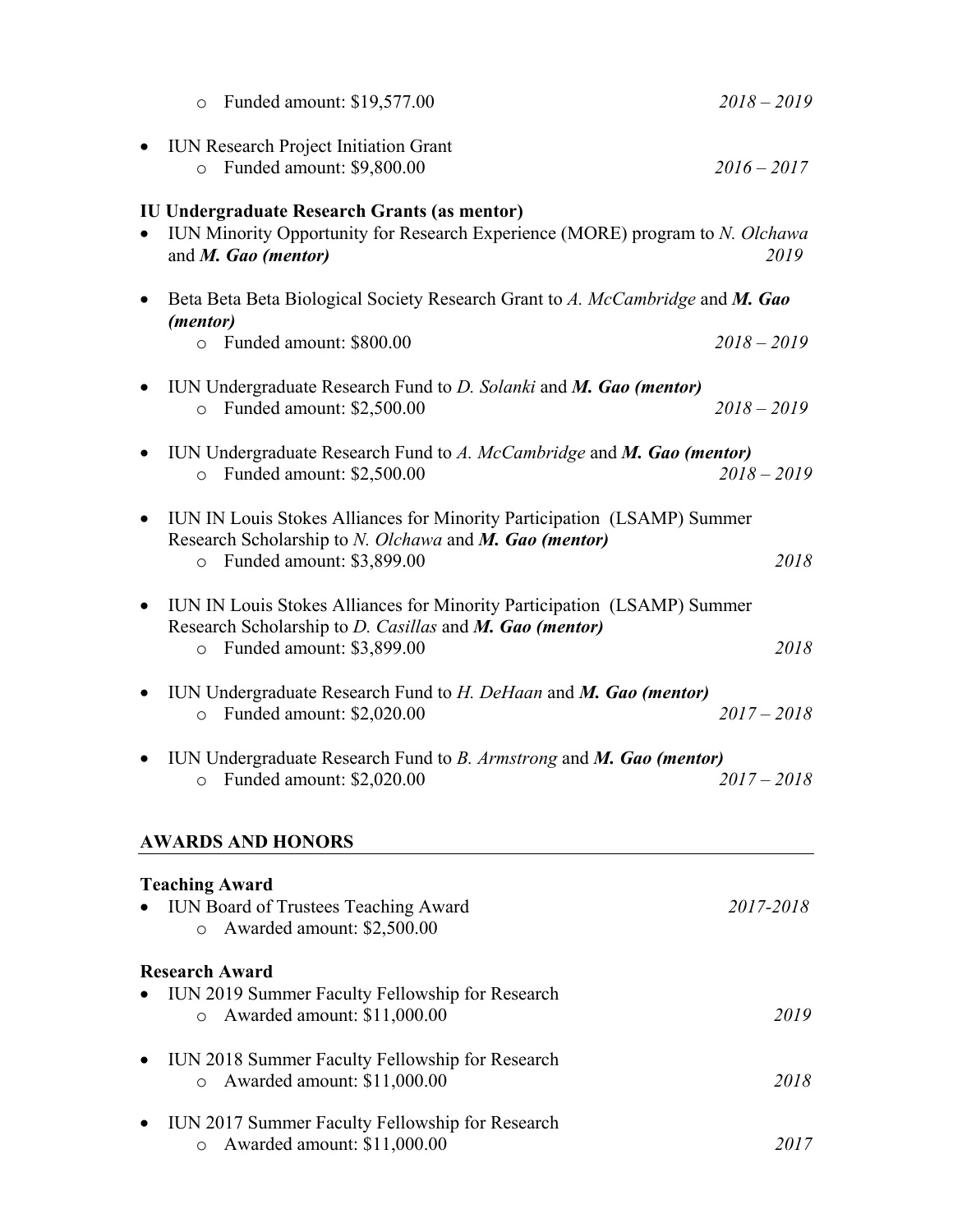|           | $\circ$                          | Funded amount: \$19,577.00                                                                                                                                      | $2018 - 2019$ |      |
|-----------|----------------------------------|-----------------------------------------------------------------------------------------------------------------------------------------------------------------|---------------|------|
| $\bullet$ | $\circ$                          | <b>IUN Research Project Initiation Grant</b><br>Funded amount: \$9,800.00                                                                                       | $2016 - 2017$ |      |
| $\bullet$ | and M. Gao (mentor)              | <b>IU Undergraduate Research Grants (as mentor)</b><br>IUN Minority Opportunity for Research Experience (MORE) program to N. Olchawa                            |               | 2019 |
| $\bullet$ | (mentor)                         | Beta Beta Beta Biological Society Research Grant to A. McCambridge and M. Gao                                                                                   |               |      |
|           | $\circ$                          | Funded amount: \$800.00                                                                                                                                         | $2018 - 2019$ |      |
| $\bullet$ | $\circ$                          | IUN Undergraduate Research Fund to D. Solanki and M. Gao (mentor)<br>Funded amount: \$2,500.00                                                                  | $2018 - 2019$ |      |
| $\bullet$ | $\circ$                          | IUN Undergraduate Research Fund to A. McCambridge and M. Gao (mentor)<br>Funded amount: \$2,500.00                                                              | $2018 - 2019$ |      |
| $\bullet$ | $\circ$                          | IUN IN Louis Stokes Alliances for Minority Participation (LSAMP) Summer<br>Research Scholarship to N. Olchawa and M. Gao (mentor)<br>Funded amount: \$3,899.00  |               | 2018 |
| $\bullet$ | $\circ$                          | IUN IN Louis Stokes Alliances for Minority Participation (LSAMP) Summer<br>Research Scholarship to D. Casillas and M. Gao (mentor)<br>Funded amount: \$3,899.00 |               | 2018 |
| $\bullet$ | $\circ$                          | IUN Undergraduate Research Fund to H. DeHaan and M. Gao (mentor)<br>Funded amount: \$2,020.00                                                                   | $2017 - 2018$ |      |
| $\bullet$ | $\circ$                          | IUN Undergraduate Research Fund to B. Armstrong and M. Gao (mentor)<br>Funded amount: \$2,020.00                                                                | $2017 - 2018$ |      |
|           |                                  | <b>AWARDS AND HONORS</b>                                                                                                                                        |               |      |
|           | <b>Teaching Award</b><br>$\circ$ | IUN Board of Trustees Teaching Award<br>Awarded amount: \$2,500.00                                                                                              | 2017-2018     |      |
|           | <b>Research Award</b>            |                                                                                                                                                                 |               |      |
|           | $\circ$                          | IUN 2019 Summer Faculty Fellowship for Research<br>Awarded amount: \$11,000.00                                                                                  |               | 2019 |
|           | $\circ$                          | IUN 2018 Summer Faculty Fellowship for Research<br>Awarded amount: \$11,000.00                                                                                  |               | 2018 |
| ٠         | $\circ$                          | IUN 2017 Summer Faculty Fellowship for Research<br>Awarded amount: \$11,000.00                                                                                  |               | 2017 |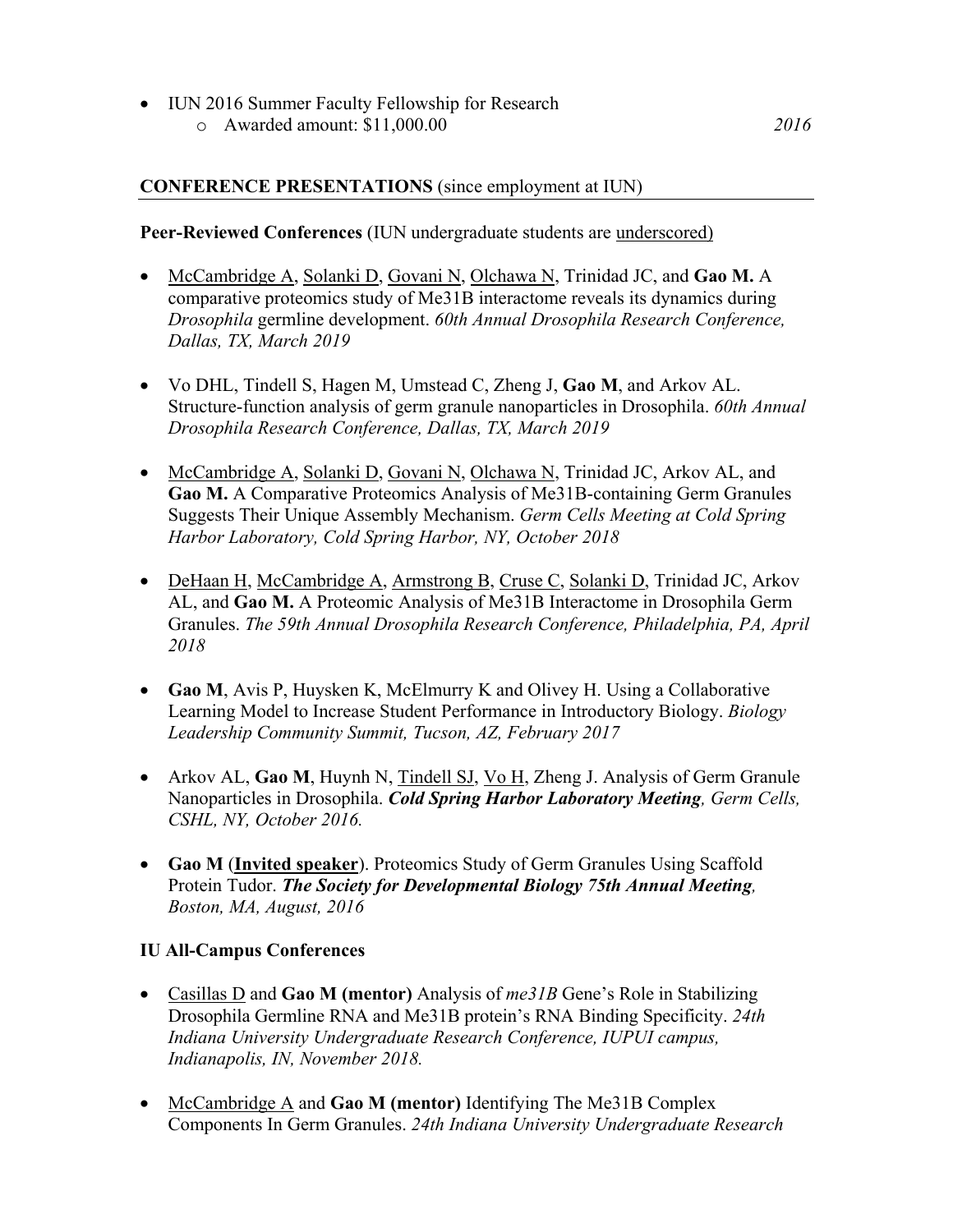• IUN 2016 Summer Faculty Fellowship for Research o Awarded amount: [\\$11,000.00](https://11,000.00) *2016* 

### **CONFERENCE PRESENTATIONS** (since employment at IUN)

### **Peer-Reviewed Conferences** (IUN undergraduate students are underscored)

- McCambridge A, Solanki D, Govani N, Olchawa N, Trinidad JC, and **Gao M.** A comparative proteomics study of Me31B interactome reveals its dynamics during *Drosophila* germline development. *60th Annual Drosophila Research Conference, Dallas, TX, March 2019*
- Vo DHL, Tindell S, Hagen M, Umstead C, Zheng J, **Gao M**, and Arkov AL. Structure-function analysis of germ granule nanoparticles in Drosophila. *60th Annual Drosophila Research Conference, Dallas, TX, March 2019*
- McCambridge A, Solanki D, Govani N, Olchawa N, Trinidad JC, Arkov AL, and **Gao M.** A Comparative Proteomics Analysis of Me31B-containing Germ Granules Suggests Their Unique Assembly Mechanism. *Germ Cells Meeting at Cold Spring Harbor Laboratory, Cold Spring Harbor, NY, October 2018*
- DeHaan H, McCambridge A, Armstrong B, Cruse C, Solanki D, Trinidad JC, Arkov AL, and **Gao M.** A Proteomic Analysis of Me31B Interactome in Drosophila Germ Granules. *The 59th Annual Drosophila Research Conference, Philadelphia, PA, April 2018*
- **Gao M**, Avis P, Huysken K, McElmurry K and Olivey H. Using a Collaborative Learning Model to Increase Student Performance in Introductory Biology. *Biology Leadership Community Summit, Tucson, AZ, February 2017*
- Arkov AL, **Gao M**, Huynh N, Tindell SJ, Vo H, Zheng J. Analysis of Germ Granule Nanoparticles in Drosophila. *Cold Spring Harbor Laboratory Meeting, Germ Cells, CSHL, NY, October 2016.*
- **Gao M** (**Invited speaker**). Proteomics Study of Germ Granules Using Scaffold Protein Tudor. *The Society for Developmental Biology 75th Annual Meeting, Boston, MA, August, 2016*

### **IU All-Campus Conferences**

- Casillas D and **Gao M (mentor)** Analysis of *me31B* Gene's Role in Stabilizing Drosophila Germline RNA and Me31B protein's RNA Binding Specificity. *24th Indiana University Undergraduate Research Conference, IUPUI campus, Indianapolis, IN, November 2018.*
- McCambridge A and **Gao M (mentor)** Identifying The Me31B Complex Components In Germ Granules. *24th Indiana University Undergraduate Research*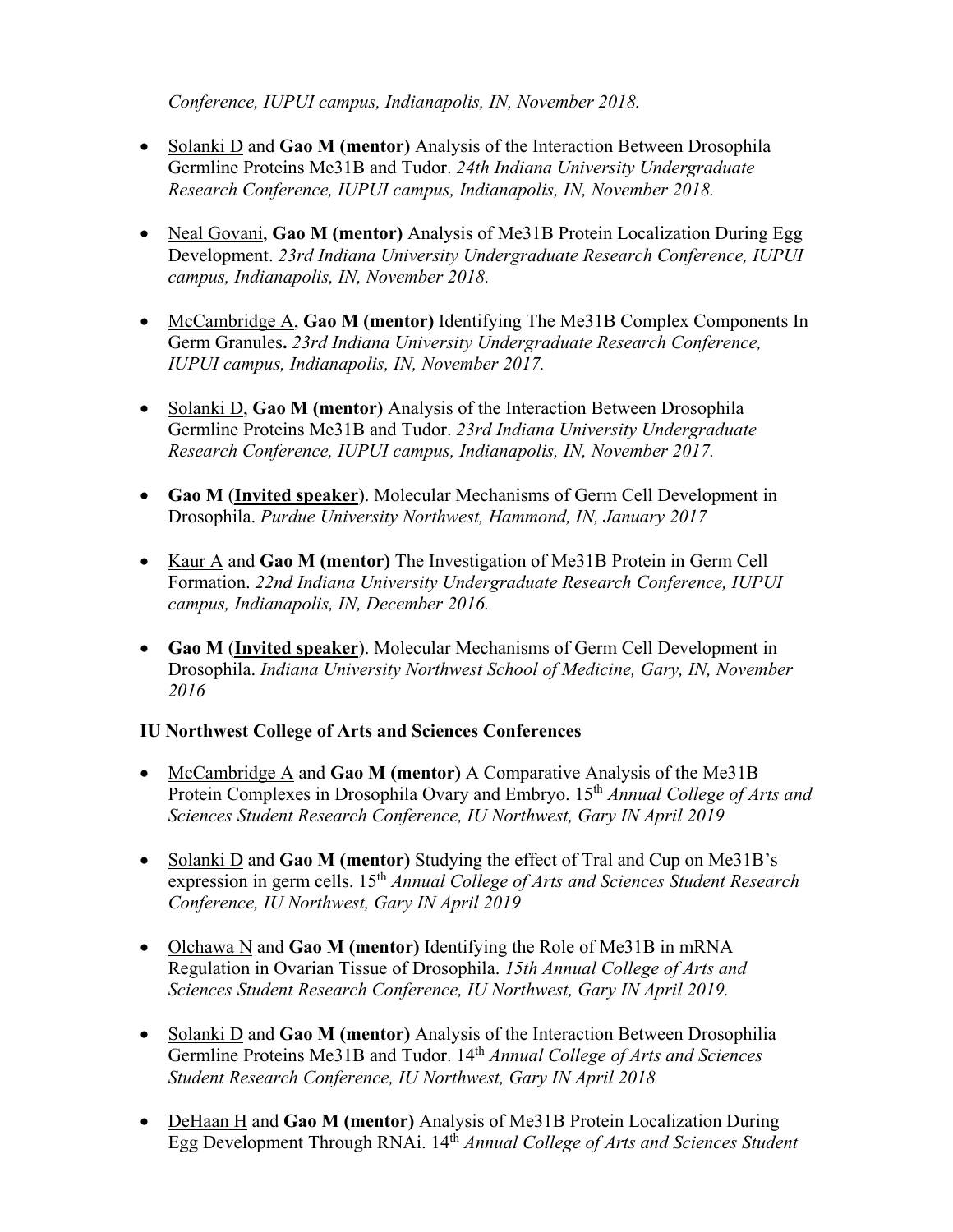*Conference, IUPUI campus, Indianapolis, IN, November 2018.* 

- Solanki D and **Gao M (mentor)** Analysis of the Interaction Between Drosophila Germline Proteins Me31B and Tudor. *24th Indiana University Undergraduate Research Conference, IUPUI campus, Indianapolis, IN, November 2018.*
- Neal Govani, **Gao M (mentor)** Analysis of Me31B Protein Localization During Egg Development. *23rd Indiana University Undergraduate Research Conference, IUPUI campus, Indianapolis, IN, November 2018.*
- McCambridge A, **Gao M (mentor)** Identifying The Me31B Complex Components In Germ Granules**.** *23rd Indiana University Undergraduate Research Conference, IUPUI campus, Indianapolis, IN, November 2017.*
- Solanki D, **Gao M (mentor)** Analysis of the Interaction Between Drosophila Germline Proteins Me31B and Tudor. *23rd Indiana University Undergraduate Research Conference, IUPUI campus, Indianapolis, IN, November 2017.*
- **Gao M** (**Invited speaker**). Molecular Mechanisms of Germ Cell Development in Drosophila. *Purdue University Northwest, Hammond, IN, January 2017*
- Kaur A and **Gao M (mentor)** The Investigation of Me31B Protein in Germ Cell Formation. *22nd Indiana University Undergraduate Research Conference, IUPUI campus, Indianapolis, IN, December 2016.*
- **Gao M** (**Invited speaker**). Molecular Mechanisms of Germ Cell Development in Drosophila. *Indiana University Northwest School of Medicine, Gary, IN, November 2016*

## **IU Northwest College of Arts and Sciences Conferences**

- McCambridge A and **Gao M (mentor)** A Comparative Analysis of the Me31B Protein Complexes in Drosophila Ovary and Embryo. 15<sup>th</sup> *Annual College of Arts and Sciences Student Research Conference, IU Northwest, Gary IN April 2019*
- Solanki D and **Gao M (mentor)** Studying the effect of Tral and Cup on Me31B's expression in germ cells. 15<sup>th</sup> *Annual College of Arts and Sciences Student Research Conference, IU Northwest, Gary IN April 2019*
- Olchawa N and **Gao M (mentor)** Identifying the Role of Me31B in mRNA Regulation in Ovarian Tissue of Drosophila. *15th Annual College of Arts and Sciences Student Research Conference, IU Northwest, Gary IN April 2019.*
- Solanki D and **Gao M (mentor)** Analysis of the Interaction Between Drosophilia Germline Proteins Me31B and Tudor. 14th *Annual College of Arts and Sciences Student Research Conference, IU Northwest, Gary IN April 2018*
- DeHaan H and **Gao M (mentor)** Analysis of Me31B Protein Localization During Egg Development Through RNAi. 14th *Annual College of Arts and Sciences Student*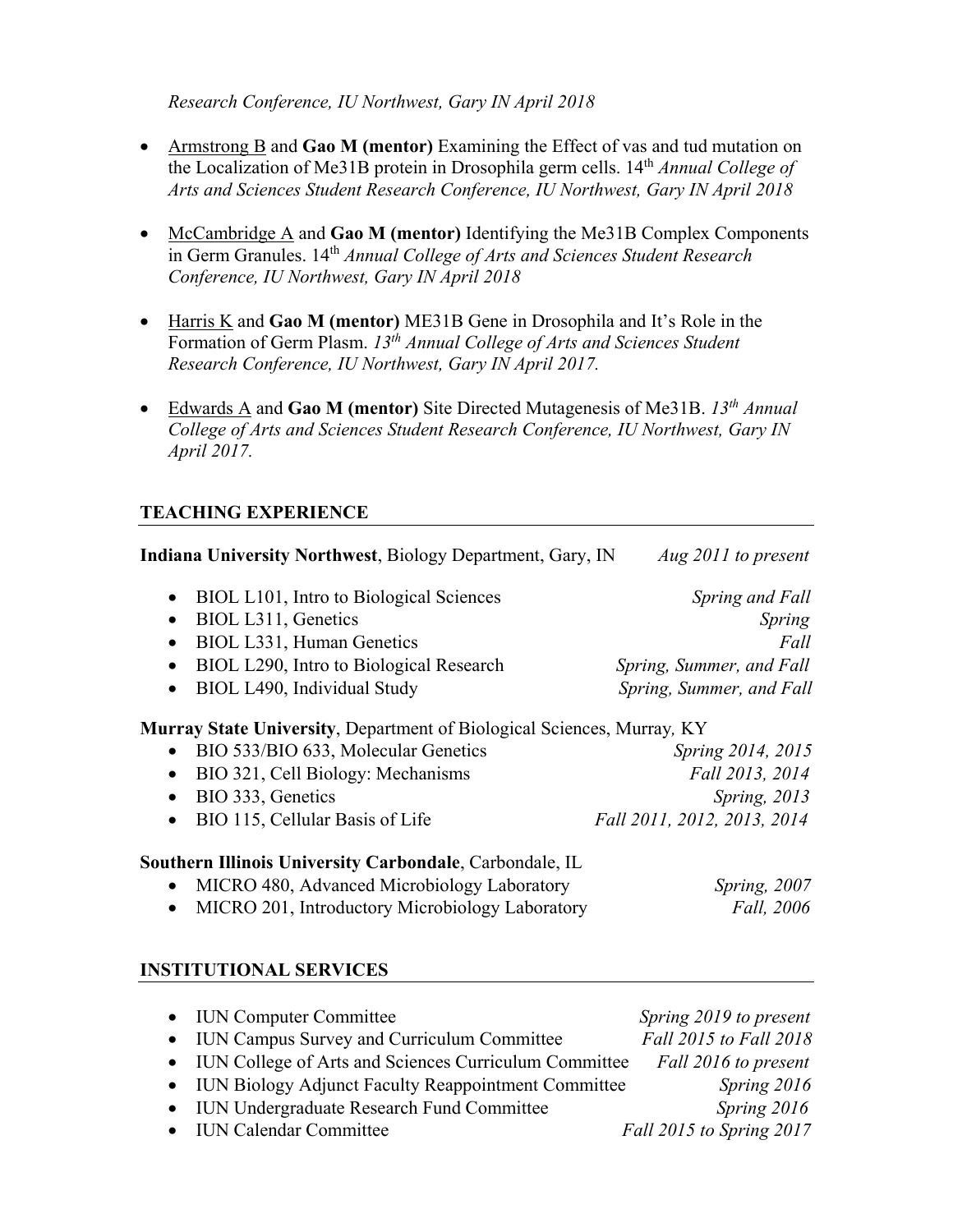*Research Conference, IU Northwest, Gary IN April 2018* 

- Armstrong B and **Gao M (mentor)** Examining the Effect of vas and tud mutation on the Localization of Me31B protein in Drosophila germ cells. 14th *Annual College of Arts and Sciences Student Research Conference, IU Northwest, Gary IN April 2018*
- McCambridge A and **Gao M (mentor)** Identifying the Me31B Complex Components in Germ Granules. 14th *Annual College of Arts and Sciences Student Research Conference, IU Northwest, Gary IN April 2018*
- Harris K and **Gao M (mentor)** ME31B Gene in Drosophila and It's Role in the Formation of Germ Plasm. *13th Annual College of Arts and Sciences Student Research Conference, IU Northwest, Gary IN April 2017.*
- Edwards A and **Gao M (mentor)** Site Directed Mutagenesis of Me31B. *13th Annual College of Arts and Sciences Student Research Conference, IU Northwest, Gary IN April 2017.*

# **TEACHING EXPERIENCE**

| <b>Indiana University Northwest, Biology Department, Gary, IN</b>                                                                  | Aug 2011 to present                      |
|------------------------------------------------------------------------------------------------------------------------------------|------------------------------------------|
| BIOL L101, Intro to Biological Sciences<br>$\bullet$<br>BIOL L311, Genetics<br>$\bullet$<br>BIOL L331, Human Genetics<br>$\bullet$ | <b>Spring and Fall</b><br>Spring<br>Fall |
| BIOL L290, Intro to Biological Research<br>$\bullet$                                                                               | Spring, Summer, and Fall                 |
| BIOL L490, Individual Study<br>$\bullet$                                                                                           | Spring, Summer, and Fall                 |
| Murray State University, Department of Biological Sciences, Murray, KY                                                             |                                          |
| BIO 533/BIO 633, Molecular Genetics<br>$\bullet$                                                                                   | <i>Spring 2014, 2015</i>                 |
| BIO 321, Cell Biology: Mechanisms<br>$\bullet$                                                                                     | Fall 2013, 2014                          |
| BIO 333, Genetics<br>$\bullet$                                                                                                     | Spring, 2013                             |
| BIO 115, Cellular Basis of Life<br>$\bullet$                                                                                       | Fall 2011, 2012, 2013, 2014              |
| Southern Illinois University Carbondale, Carbondale, IL                                                                            |                                          |
| MICRO 480, Advanced Microbiology Laboratory                                                                                        | Spring, 2007                             |
| MICRO 201, Introductory Microbiology Laboratory                                                                                    | Fall, 2006                               |
| <b>INSTITUTIONAL SERVICES</b>                                                                                                      |                                          |
| <b>IUN Computer Committee</b><br>$\bullet$                                                                                         | Spring 2019 to present                   |
| IUN Campus Survey and Curriculum Committee<br>$\bullet$                                                                            | Fall 2015 to Fall 2018                   |
| IUN College of Arts and Sciences Curriculum Committee<br>$\bullet$                                                                 | Fall 2016 to present                     |
| IUN Biology Adjunct Faculty Reappointment Committee<br>$\bullet$                                                                   | Spring 2016                              |
| <b>IUN Undergraduate Research Fund Committee</b><br>$\bullet$                                                                      | Spring 2016                              |

• IUN Calendar Committee *Fall 2015 to Spring 2017*